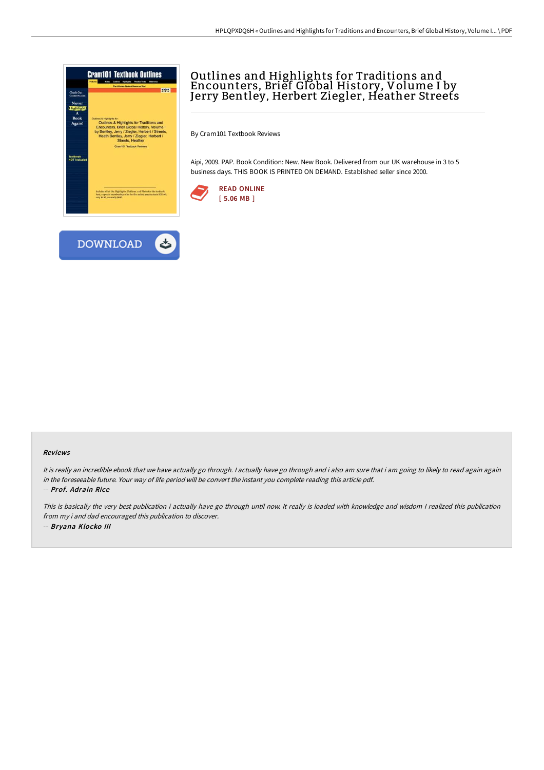

# Outlines and Highlights for Traditions and Encounters, Brief Global History, Volume I by Jerry Bentley, Herbert Ziegler, Heather Streets

By Cram101 Textbook Reviews

Aipi, 2009. PAP. Book Condition: New. New Book. Delivered from our UK warehouse in 3 to 5 business days. THIS BOOK IS PRINTED ON DEMAND. Established seller since 2000.





#### Reviews

It is really an incredible ebook that we have actually go through. I actually have go through and i also am sure that i am going to likely to read again again in the foreseeable future. Your way of life period will be convert the instant you complete reading this article pdf. -- Prof. Adrain Rice

This is basically the very best publication i actually have go through until now. It really is loaded with knowledge and wisdom I realized this publication from my i and dad encouraged this publication to discover. -- Bryana Klocko III